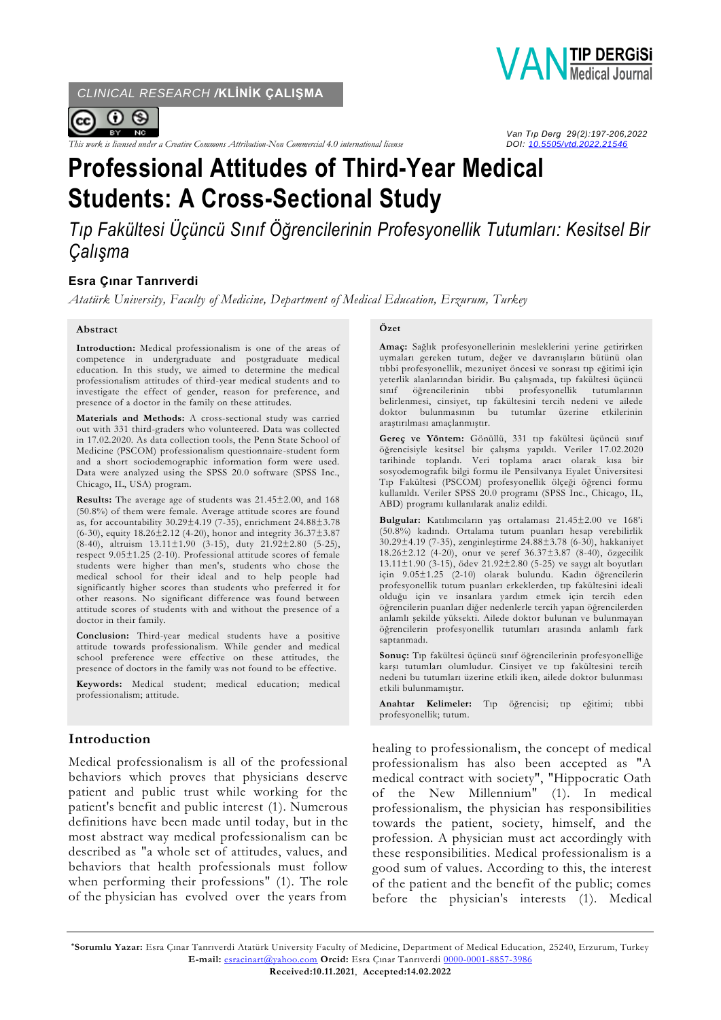*CLINICAL RESEARCH /***KLİNİK ÇALIŞMA**



*This work is licensed under a Creative Commons Attribution-Non Commercial 4.0 international license* 



 *Van Tıp Derg 29(2):197-206,2022*

# **Professional Attitudes of Third-Year Medical Students: A Cross-Sectional Study**

*Tıp Fakültesi Üçüncü Sınıf Öğrencilerinin Profesyonellik Tutumları: Kesitsel Bir Çalışma*

# **Esra Çınar Tanrıverdi**

*Atatürk University, Faculty of Medicine, Department of Medical Education, Erzurum, Turkey*

#### **Abstract**

**Introduction:** Medical professionalism is one of the areas of competence in undergraduate and postgraduate medical education. In this study, we aimed to determine the medical professionalism attitudes of third-year medical students and to investigate the effect of gender, reason for preference, and presence of a doctor in the family on these attitudes.

**Materials and Methods:** A cross-sectional study was carried out with 331 third-graders who volunteered. Data was collected in 17.02.2020. As data collection tools, the Penn State School of Medicine (PSCOM) professionalism questionnaire-student form and a short sociodemographic information form were used. Data were analyzed using the SPSS 20.0 software (SPSS Inc., Chicago, IL, USA) program.

**Results:** The average age of students was 21.45±2.00, and 168 (50.8%) of them were female. Average attitude scores are found as, for accountability 30.29±4.19 (7-35), enrichment 24.88±3.78 (6-30), equity 18.26±2.12 (4-20), honor and integrity 36.37±3.87 (8-40), altruism 13.11±1.90 (3-15), duty 21.92±2.80 (5-25), respect 9.05±1.25 (2-10). Professional attitude scores of female students were higher than men's, students who chose the medical school for their ideal and to help people had significantly higher scores than students who preferred it for other reasons. No significant difference was found between attitude scores of students with and without the presence of a doctor in their family.

**Conclusion:** Third-year medical students have a positive attitude towards professionalism. While gender and medical school preference were effective on these attitudes, the presence of doctors in the family was not found to be effective.

**Keywords:** Medical student; medical education; medical professionalism; attitude.

## **Introduction**

Medical professionalism is all of the professional behaviors which proves that physicians deserve patient and public trust while working for the patient's benefit and public interest (1). Numerous definitions have been made until today, but in the most abstract way medical professionalism can be described as "a whole set of attitudes, values, and behaviors that health professionals must follow when performing their professions" (1). The role of the physician has evolved over the years from

#### **Özet**

**Amaç:** Sağlık profesyonellerinin mesleklerini yerine getirirken uymaları gereken tutum, değer ve davranışların bütünü olan tıbbi profesyonellik, mezuniyet öncesi ve sonrası tıp eğitimi için yeterlik alanlarından biridir. Bu çalışmada, tıp fakültesi üçüncü sınıf öğrencilerinin tıbbi profesyonellik belirlenmesi, cinsiyet, tıp fakültesini tercih nedeni ve ailede doktor bulunmasının bu tutumlar üzerine etkilerinin araştırılması amaçlanmıştır.

**Gereç ve Yöntem:** Gönüllü, 331 tıp fakültesi üçüncü sınıf öğrencisiyle kesitsel bir çalışma yapıldı. Veriler 17.02.2020 tarihinde toplandı. Veri toplama aracı olarak kısa bir sosyodemografik bilgi formu ile Pensilvanya Eyalet Üniversitesi Tıp Fakültesi (PSCOM) profesyonellik ölçeği öğrenci formu kullanıldı. Veriler SPSS 20.0 programı (SPSS Inc., Chicago, IL, ABD) programı kullanılarak analiz edildi.

**Bulgular:** Katılımcıların yaş ortalaması 21.45±2.00 ve 168'i (50.8%) kadındı. Ortalama tutum puanları hesap verebilirlik 30.29±4.19 (7-35), zenginleştirme 24.88±3.78 (6-30), hakkaniyet 18.26±2.12 (4-20), onur ve şeref 36.37±3.87 (8-40), özgecilik 13.11±1.90 (3-15), ödev 21.92±2.80 (5-25) ve saygı alt boyutları için 9.05±1.25 (2-10) olarak bulundu. Kadın öğrencilerin profesyonellik tutum puanları erkeklerden, tıp fakültesini ideali olduğu için ve insanlara yardım etmek için tercih eden öğrencilerin puanları diğer nedenlerle tercih yapan öğrencilerden anlamlı şekilde yüksekti. Ailede doktor bulunan ve bulunmayan öğrencilerin profesyonellik tutumları arasında anlamlı fark saptanmadı.

**Sonuç:** Tıp fakültesi üçüncü sınıf öğrencilerinin profesyonelliğe karşı tutumları olumludur. Cinsiyet ve tıp fakültesini tercih nedeni bu tutumları üzerine etkili iken, ailede doktor bulunması etkili bulunmamıştır.

**Anahtar Kelimeler:** Tıp öğrencisi; tıp eğitimi; tıbbi profesyonellik; tutum.

healing to professionalism, the concept of medical professionalism has also been accepted as "A medical contract with society", "Hippocratic Oath of the New Millennium" (1). In medical professionalism, the physician has responsibilities towards the patient, society, himself, and the profession. A physician must act accordingly with these responsibilities. Medical professionalism is a good sum of values. According to this, the interest of the patient and the benefit of the public; comes before the physician's interests (1). Medical

**\*Sorumlu Yazar:** Esra Çınar Tanrıverdi Atatürk University Faculty of Medicine, Department of Medical Education, 25240, Erzurum, Turkey **E-mail:** [esracinart@yahoo.com](mailto:esracinart@yahoo.com) **Orcid:** Esra Çınar Tanrıverdi [0000-0001-8857-3986](https://orcid.org/0000-0001-8857-3986) **Received:10.11.2021**, **Accepted:14.02.2022**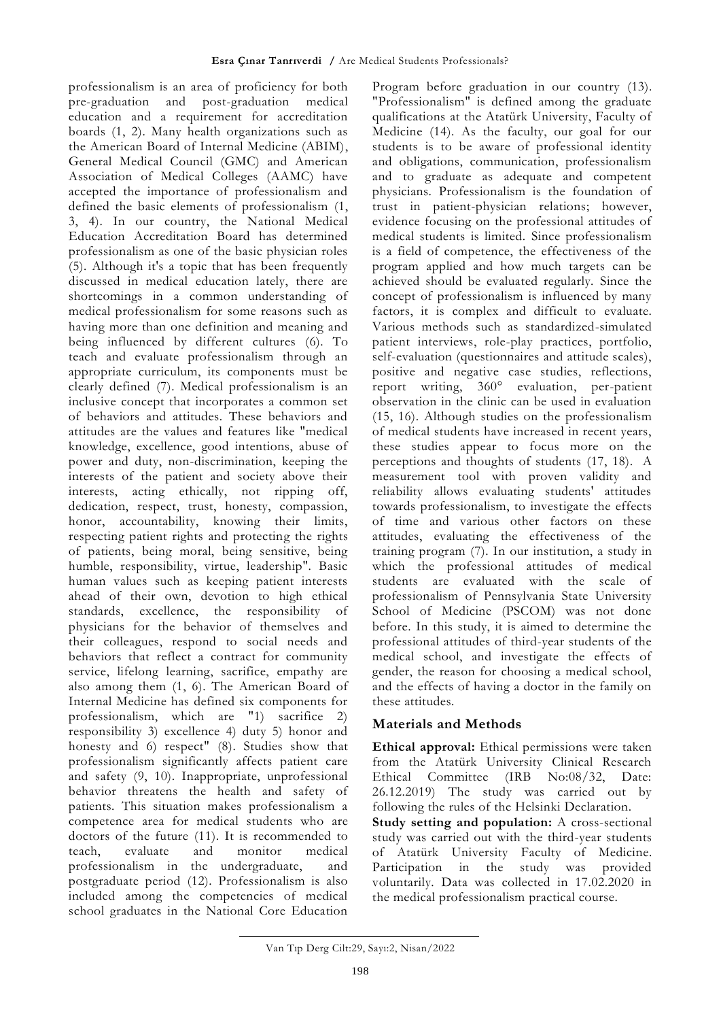professionalism is an area of proficiency for both pre-graduation and post-graduation medical education and a requirement for accreditation boards (1, 2). Many health organizations such as the American Board of Internal Medicine (ABIM), General Medical Council (GMC) and American Association of Medical Colleges (AAMC) have accepted the importance of professionalism and defined the basic elements of professionalism (1, 3, 4). In our country, the National Medical Education Accreditation Board has determined professionalism as one of the basic physician roles (5). Although it's a topic that has been frequently discussed in medical education lately, there are shortcomings in a common understanding of medical professionalism for some reasons such as having more than one definition and meaning and being influenced by different cultures (6). To teach and evaluate professionalism through an appropriate curriculum, its components must be clearly defined (7). Medical professionalism is an inclusive concept that incorporates a common set of behaviors and attitudes. These behaviors and attitudes are the values and features like "medical knowledge, excellence, good intentions, abuse of power and duty, non-discrimination, keeping the interests of the patient and society above their interests, acting ethically, not ripping off, dedication, respect, trust, honesty, compassion, honor, accountability, knowing their limits, respecting patient rights and protecting the rights of patients, being moral, being sensitive, being humble, responsibility, virtue, leadership". Basic human values such as keeping patient interests ahead of their own, devotion to high ethical standards, excellence, the responsibility of physicians for the behavior of themselves and their colleagues, respond to social needs and behaviors that reflect a contract for community service, lifelong learning, sacrifice, empathy are also among them (1, 6). The American Board of Internal Medicine has defined six components for professionalism, which are "1) sacrifice 2) responsibility 3) excellence 4) duty 5) honor and honesty and 6) respect" (8). Studies show that professionalism significantly affects patient care and safety (9, 10). Inappropriate, unprofessional behavior threatens the health and safety of patients. This situation makes professionalism a competence area for medical students who are doctors of the future (11). It is recommended to teach, evaluate and monitor medical professionalism in the undergraduate, and postgraduate period (12). Professionalism is also included among the competencies of medical school graduates in the National Core Education

Program before graduation in our country (13). "Professionalism" is defined among the graduate qualifications at the Atatürk University, Faculty of Medicine (14). As the faculty, our goal for our students is to be aware of professional identity and obligations, communication, professionalism and to graduate as adequate and competent physicians. Professionalism is the foundation of trust in patient-physician relations; however, evidence focusing on the professional attitudes of medical students is limited. Since professionalism is a field of competence, the effectiveness of the program applied and how much targets can be achieved should be evaluated regularly. Since the concept of professionalism is influenced by many factors, it is complex and difficult to evaluate. Various methods such as standardized-simulated patient interviews, role-play practices, portfolio, self-evaluation (questionnaires and attitude scales), positive and negative case studies, reflections, report writing, 360° evaluation, per-patient observation in the clinic can be used in evaluation (15, 16). Although studies on the professionalism of medical students have increased in recent years, these studies appear to focus more on the perceptions and thoughts of students (17, 18). A measurement tool with proven validity and reliability allows evaluating students' attitudes towards professionalism, to investigate the effects of time and various other factors on these attitudes, evaluating the effectiveness of the training program (7). In our institution, a study in which the professional attitudes of medical students are evaluated with the scale of professionalism of Pennsylvania State University School of Medicine (PSCOM) was not done before. In this study, it is aimed to determine the professional attitudes of third-year students of the medical school, and investigate the effects of gender, the reason for choosing a medical school, and the effects of having a doctor in the family on these attitudes.

# **Materials and Methods**

**Ethical approval:** Ethical permissions were taken from the Atatürk University Clinical Research Ethical Committee (IRB No:08/32, Date: 26.12.2019) The study was carried out by following the rules of the Helsinki Declaration. **Study setting and population:** A cross-sectional study was carried out with the third-year students of Atatürk University Faculty of Medicine. Participation in the study was provided voluntarily. Data was collected in 17.02.2020 in the medical professionalism practical course.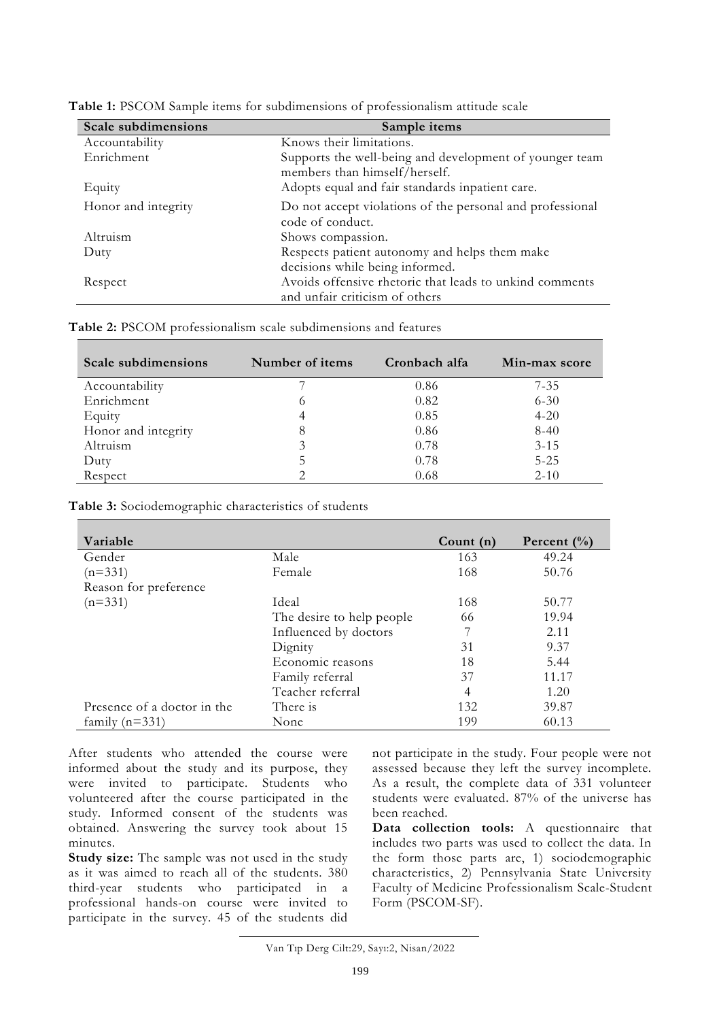| Scale subdimensions | Sample items                                                                              |
|---------------------|-------------------------------------------------------------------------------------------|
| Accountability      | Knows their limitations.                                                                  |
| Enrichment          | Supports the well-being and development of younger team<br>members than himself/herself.  |
| Equity              | Adopts equal and fair standards inpatient care.                                           |
| Honor and integrity | Do not accept violations of the personal and professional<br>code of conduct.             |
| Altruism            | Shows compassion.                                                                         |
| Duty                | Respects patient autonomy and helps them make<br>decisions while being informed.          |
| Respect             | Avoids offensive rhetoric that leads to unkind comments<br>and unfair criticism of others |

| <b>Table 1:</b> PSCOM Sample items for subdimensions of professionalism attitude scale |  |  |  |
|----------------------------------------------------------------------------------------|--|--|--|
|----------------------------------------------------------------------------------------|--|--|--|

**Table 2:** PSCOM professionalism scale subdimensions and features

| Scale subdimensions | Number of items | Cronbach alfa | Min-max score |
|---------------------|-----------------|---------------|---------------|
| Accountability      |                 | 0.86          | $7 - 35$      |
| Enrichment          | O               | 0.82          | $6 - 30$      |
| Equity              |                 | 0.85          | $4 - 20$      |
| Honor and integrity | 8               | 0.86          | $8 - 40$      |
| Altruism            | 3               | 0.78          | $3 - 15$      |
| Duty                | 5               | 0.78          | $5 - 25$      |
| Respect             |                 | 0.68          | $2 - 10$      |

**Table 3:** Sociodemographic characteristics of students

| Variable                    |                           | Count $(n)$ | Percent $(\%$ |
|-----------------------------|---------------------------|-------------|---------------|
| Gender                      | Male                      | 163         | 49.24         |
| $(n=331)$                   | Female                    | 168         | 50.76         |
| Reason for preference       |                           |             |               |
| $(n=331)$                   | Ideal                     | 168         | 50.77         |
|                             | The desire to help people | 66          | 19.94         |
|                             | Influenced by doctors     |             | 2.11          |
|                             | Dignity                   | 31          | 9.37          |
|                             | Economic reasons          | 18          | 5.44          |
|                             | Family referral           | 37          | 11.17         |
|                             | Teacher referral          | 4           | 1.20          |
| Presence of a doctor in the | There is                  | 132         | 39.87         |
| family $(n=331)$            | None                      | 199         | 60.13         |

After students who attended the course were informed about the study and its purpose, they were invited to participate. Students who volunteered after the course participated in the study. Informed consent of the students was obtained. Answering the survey took about 15 minutes.

**Study size:** The sample was not used in the study as it was aimed to reach all of the students. 380 third-year students who participated in a professional hands-on course were invited to participate in the survey. 45 of the students did not participate in the study. Four people were not assessed because they left the survey incomplete. As a result, the complete data of 331 volunteer students were evaluated. 87% of the universe has been reached.

**Data collection tools:** A questionnaire that includes two parts was used to collect the data. In the form those parts are, 1) sociodemographic characteristics, 2) Pennsylvania State University Faculty of Medicine Professionalism Scale-Student Form (PSCOM-SF).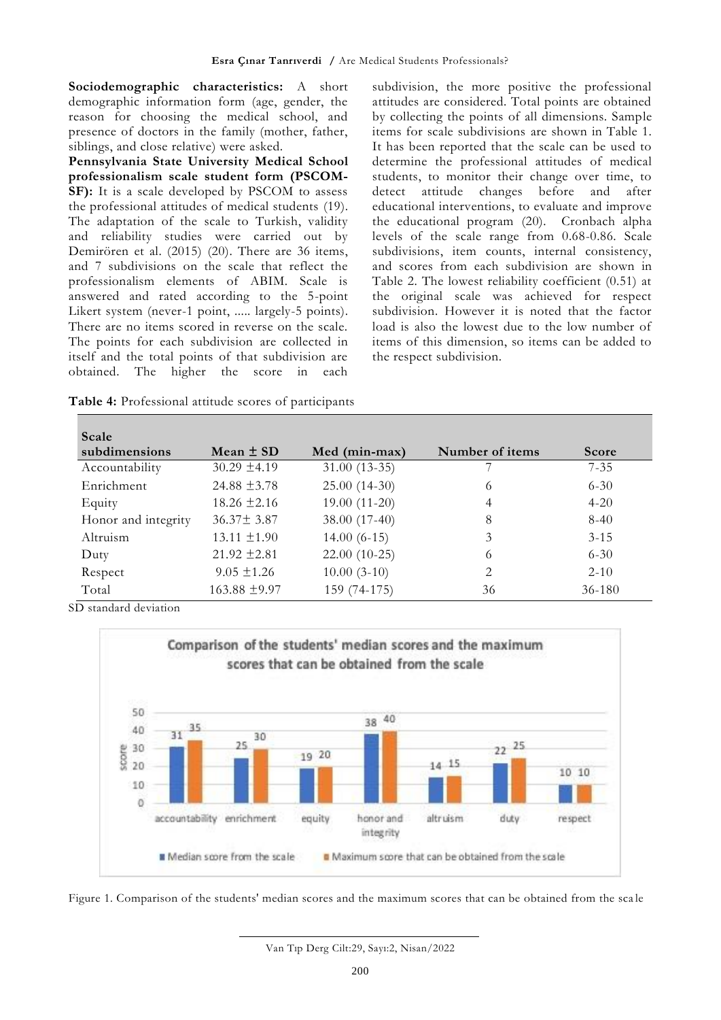**Sociodemographic characteristics:** A short demographic information form (age, gender, the reason for choosing the medical school, and presence of doctors in the family (mother, father, siblings, and close relative) were asked.

**Pennsylvania State University Medical School professionalism scale student form (PSCOM-**SF): It is a scale developed by PSCOM to assess the professional attitudes of medical students (19). The adaptation of the scale to Turkish, validity and reliability studies were carried out by Demirören et al. (2015) (20). There are 36 items, and 7 subdivisions on the scale that reflect the professionalism elements of ABIM. Scale is answered and rated according to the 5-point Likert system (never-1 point, ..... largely-5 points). There are no items scored in reverse on the scale. The points for each subdivision are collected in itself and the total points of that subdivision are obtained. The higher the score in each

**Table 4:** Professional attitude scores of participants

subdivision, the more positive the professional attitudes are considered. Total points are obtained by collecting the points of all dimensions. Sample items for scale subdivisions are shown in Table 1. It has been reported that the scale can be used to determine the professional attitudes of medical students, to monitor their change over time, to<br>detect attitude changes before and after detect attitude changes before and after educational interventions, to evaluate and improve the educational program (20). Cronbach alpha levels of the scale range from 0.68-0.86. Scale subdivisions, item counts, internal consistency, and scores from each subdivision are shown in Table 2. The lowest reliability coefficient (0.51) at the original scale was achieved for respect subdivision. However it is noted that the factor load is also the lowest due to the low number of items of this dimension, so items can be added to the respect subdivision.

| Scale               |                   |                |                 |              |
|---------------------|-------------------|----------------|-----------------|--------------|
| subdimensions       | Mean $\pm$ SD     | Med (min-max)  | Number of items | <b>Score</b> |
| Accountability      | $30.29 \pm 4.19$  | $31.00(13-35)$ |                 | $7 - 35$     |
| Enrichment          | 24.88 $\pm$ 3.78  | $25.00(14-30)$ | 6               | $6 - 30$     |
| Equity              | $18.26 \pm 2.16$  | $19.00(11-20)$ | 4               | $4 - 20$     |
| Honor and integrity | $36.37 \pm 3.87$  | 38.00 (17-40)  | 8               | $8-40$       |
| Altruism            | $13.11 \pm 1.90$  | $14.00(6-15)$  | 3               | $3 - 15$     |
| Duty                | $21.92 \pm 2.81$  | $22.00(10-25)$ | 6               | $6 - 30$     |
| Respect             | $9.05 \pm 1.26$   | $10.00(3-10)$  | 2               | $2 - 10$     |
| Total               | $163.88 \pm 9.97$ | 159 (74-175)   | 36              | $36 - 180$   |

SD standard deviation





Van Tıp Derg Cilt:29, Sayı:2, Nisan/2022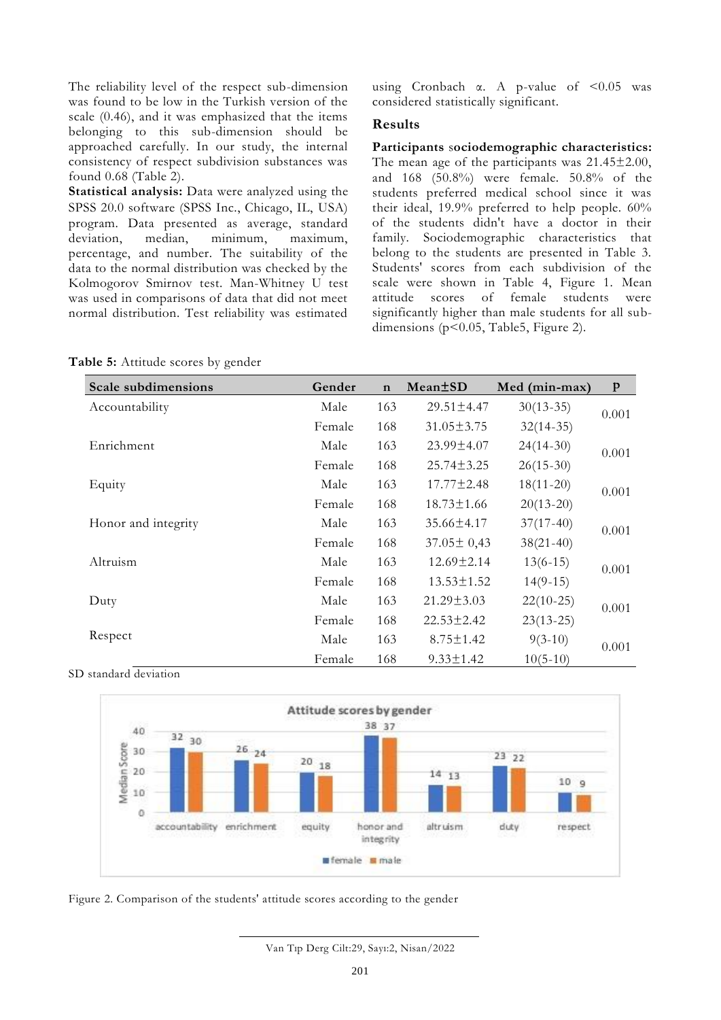The reliability level of the respect sub-dimension was found to be low in the Turkish version of the scale (0.46), and it was emphasized that the items belonging to this sub-dimension should be approached carefully. In our study, the internal consistency of respect subdivision substances was found 0.68 (Table 2).

**Statistical analysis:** Data were analyzed using the SPSS 20.0 software (SPSS Inc., Chicago, IL, USA) program. Data presented as average, standard deviation, median, minimum, maximum, percentage, and number. The suitability of the data to the normal distribution was checked by the Kolmogorov Smirnov test. Man-Whitney U test was used in comparisons of data that did not meet normal distribution. Test reliability was estimated

using Cronbach  $\alpha$ . A p-value of <0.05 was considered statistically significant.

### **Results**

**Participants** s**ociodemographic characteristics:** The mean age of the participants was 21.45±2.00, and 168 (50.8%) were female. 50.8% of the students preferred medical school since it was their ideal, 19.9% preferred to help people. 60% of the students didn't have a doctor in their family. Sociodemographic characteristics that belong to the students are presented in Table 3. Students' scores from each subdivision of the scale were shown in Table 4, Figure 1. Mean scores of female students were significantly higher than male students for all subdimensions ( $p<0.05$ , Table5, Figure 2).

|  |  |  | <b>Table 5:</b> Attitude scores by gender |  |  |  |
|--|--|--|-------------------------------------------|--|--|--|
|--|--|--|-------------------------------------------|--|--|--|

| <b>Scale subdimensions</b> | Gender | $\mathbf n$ | Mean <sup>+</sup> SD | Med (min-max) | $\mathbf{p}$ |
|----------------------------|--------|-------------|----------------------|---------------|--------------|
| Accountability             | Male   | 163         | 29.51±4.47           | $30(13-35)$   | 0.001        |
|                            | Female | 168         | $31.05 \pm 3.75$     | $32(14-35)$   |              |
| Enrichment                 | Male   | 163         | 23.99±4.07           | $24(14-30)$   | 0.001        |
|                            | Female | 168         | $25.74 \pm 3.25$     | $26(15-30)$   |              |
| Equity                     | Male   | 163         | $17.77 \pm 2.48$     | $18(11-20)$   | 0.001        |
|                            | Female | 168         | $18.73 \pm 1.66$     | $20(13-20)$   |              |
| Honor and integrity        | Male   | 163         | 35.66±4.17           | $37(17-40)$   | 0.001        |
|                            | Female | 168         | $37.05 \pm 0.43$     | $38(21-40)$   |              |
| Altruism                   | Male   | 163         | $12.69 \pm 2.14$     | $13(6-15)$    | 0.001        |
|                            | Female | 168         | $13.53 \pm 1.52$     | $14(9-15)$    |              |
| Duty                       | Male   | 163         | $21.29 \pm 3.03$     | $22(10-25)$   | 0.001        |
|                            | Female | 168         | $22.53 \pm 2.42$     | $23(13-25)$   |              |
| Respect                    | Male   | 163         | $8.75 \pm 1.42$      | $9(3-10)$     | 0.001        |
|                            | Female | 168         | $9.33 \pm 1.42$      | $10(5-10)$    |              |





Figure 2. Comparison of the students' attitude scores according to the gender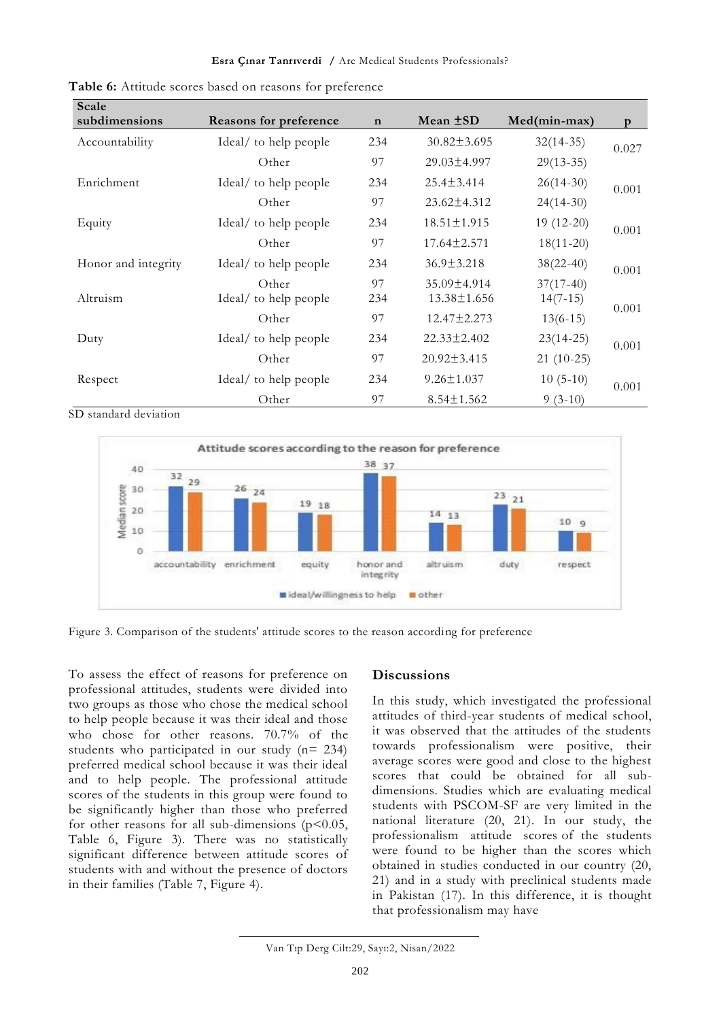#### **Esra Çınar Tanrıverdi /** Are Medical Students Professionals?

| Scale<br>subdimensions | <b>Reasons for preference</b>  | $\mathbf n$ | Mean ±SD                         | Med(min-max)              | p     |
|------------------------|--------------------------------|-------------|----------------------------------|---------------------------|-------|
| Accountability         | Ideal/ to help people          | 234         | $30.82 \pm 3.695$                | $32(14-35)$               |       |
|                        | Other                          | 97          | $29.03 \pm 4.997$                | $29(13-35)$               | 0.027 |
| Enrichment             | Ideal/ to help people          | 234         | $25.4 \pm 3.414$                 | $26(14-30)$               | 0.001 |
|                        | Other                          | 97          | $23.62 \pm 4.312$                | $24(14-30)$               |       |
| Equity                 | Ideal/ to help people          | 234         | $18.51 \pm 1.915$                | $19(12-20)$               | 0.001 |
|                        | Other                          | 97          | $17.64 \pm 2.571$                | $18(11-20)$               |       |
| Honor and integrity    | Ideal/ to help people          | 234         | $36.9 \pm 3.218$                 | $38(22-40)$               | 0.001 |
| Altruism               | Other<br>Ideal/ to help people | 97<br>234   | 35.09±4.914<br>$13.38 \pm 1.656$ | $37(17-40)$<br>$14(7-15)$ |       |
|                        | Other                          | 97          | $12.47 \pm 2.273$                | $13(6-15)$                | 0.001 |
| Duty                   | Ideal/ to help people          | 234         | $22.33 \pm 2.402$                | $23(14-25)$               | 0.001 |
|                        | Other                          | 97          | $20.92 \pm 3.415$                | $21(10-25)$               |       |
| Respect                | Ideal/ to help people          | 234         | $9.26 \pm 1.037$                 | $10(5-10)$                | 0.001 |
|                        | Other                          | 97          | $8.54 \pm 1.562$                 | $9(3-10)$                 |       |

**Table 6:** Attitude scores based on reasons for preference

SD standard deviation



Figure 3. Comparison of the students' attitude scores to the reason according for preference

To assess the effect of reasons for preference on professional attitudes, students were divided into two groups as those who chose the medical school to help people because it was their ideal and those who chose for other reasons. 70.7% of the students who participated in our study (n= 234) preferred medical school because it was their ideal and to help people. The professional attitude scores of the students in this group were found to be significantly higher than those who preferred for other reasons for all sub-dimensions ( $p$ <0.05, Table 6, Figure 3). There was no statistically significant difference between attitude scores of students with and without the presence of doctors in their families (Table 7, Figure 4).

# **Discussions**

In this study, which investigated the professional attitudes of third-year students of medical school, it was observed that the attitudes of the students towards professionalism were positive, their average scores were good and close to the highest scores that could be obtained for all subdimensions. Studies which are evaluating medical students with PSCOM-SF are very limited in the national literature (20, 21). In our study, the professionalism attitude scores of the students were found to be higher than the scores which obtained in studies conducted in our country (20, 21) and in a study with preclinical students made in Pakistan (17). In this difference, it is thought that professionalism may have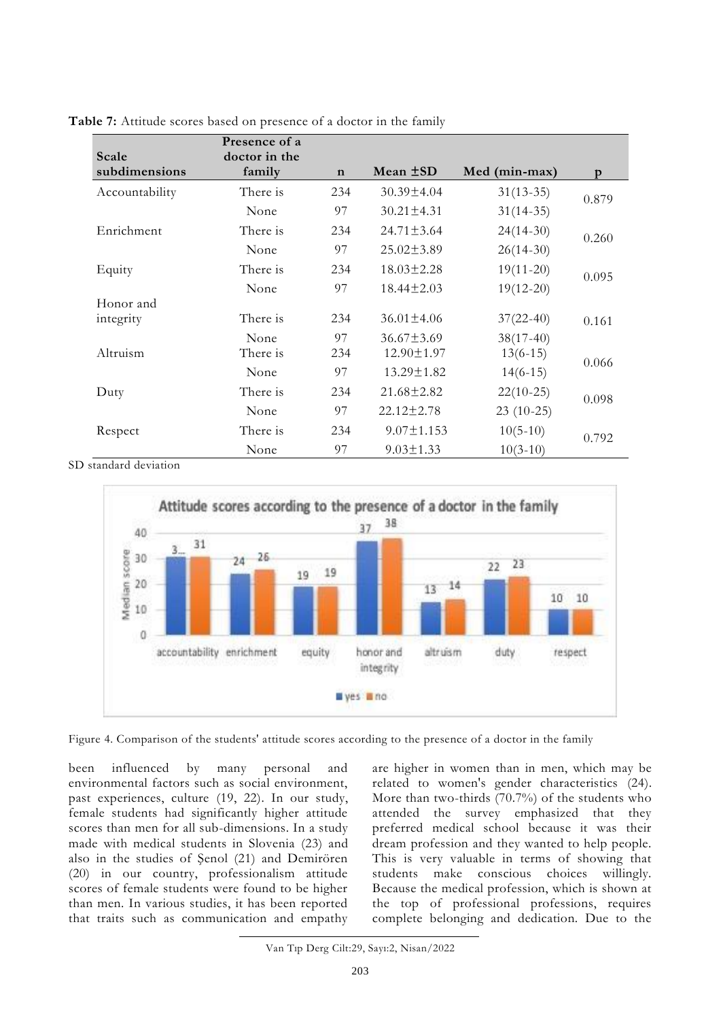| Scale                                                           | Presence of a<br>doctor in the |             |                  |               |       |
|-----------------------------------------------------------------|--------------------------------|-------------|------------------|---------------|-------|
| subdimensions                                                   | family                         | $\mathbf n$ | Mean $\pm SD$    | Med (min-max) | p     |
| Accountability                                                  | There is                       | 234         | $30.39 \pm 4.04$ | $31(13-35)$   | 0.879 |
|                                                                 | None                           | 97          | $30.21 \pm 4.31$ | $31(14-35)$   |       |
| Enrichment                                                      | There is                       | 234         | $24.71 \pm 3.64$ | $24(14-30)$   | 0.260 |
|                                                                 | None                           | 97          | $25.02 \pm 3.89$ | $26(14-30)$   |       |
| Equity                                                          | There is                       | 234         | $18.03 \pm 2.28$ | $19(11-20)$   | 0.095 |
|                                                                 | None                           | 97          | $18.44 \pm 2.03$ | $19(12-20)$   |       |
| Honor and                                                       |                                |             |                  |               |       |
| integrity                                                       | There is                       | 234         | $36.01 \pm 4.06$ | $37(22-40)$   | 0.161 |
|                                                                 | None                           | 97          | $36.67 \pm 3.69$ | $38(17-40)$   |       |
| Altruism                                                        | There is                       | 234         | 12.90±1.97       | $13(6-15)$    |       |
|                                                                 | None                           | 97          | $13.29 \pm 1.82$ | $14(6-15)$    | 0.066 |
| Duty                                                            | There is                       | 234         | $21.68 \pm 2.82$ | $22(10-25)$   | 0.098 |
|                                                                 | None                           | 97          | $22.12 \pm 2.78$ | $23(10-25)$   |       |
| Respect                                                         | There is                       | 234         | $9.07 \pm 1.153$ | $10(5-10)$    | 0.792 |
| $\mathbf{a}$ and $\mathbf{a}$ and $\mathbf{a}$ and $\mathbf{a}$ | None                           | 97          | $9.03 \pm 1.33$  | $10(3-10)$    |       |

**Table 7:** Attitude scores based on presence of a doctor in the family

SD standard deviation





been influenced by many personal and environmental factors such as social environment, past experiences, culture (19, 22). In our study, female students had significantly higher attitude scores than men for all sub-dimensions. In a study made with medical students in Slovenia (23) and also in the studies of Şenol (21) and Demirören (20) in our country, professionalism attitude scores of female students were found to be higher than men. In various studies, it has been reported that traits such as communication and empathy

are higher in women than in men, which may be related to women's gender characteristics (24). More than two-thirds (70.7%) of the students who attended the survey emphasized that they preferred medical school because it was their dream profession and they wanted to help people. This is very valuable in terms of showing that students make conscious choices willingly. Because the medical profession, which is shown at the top of professional professions, requires complete belonging and dedication. Due to the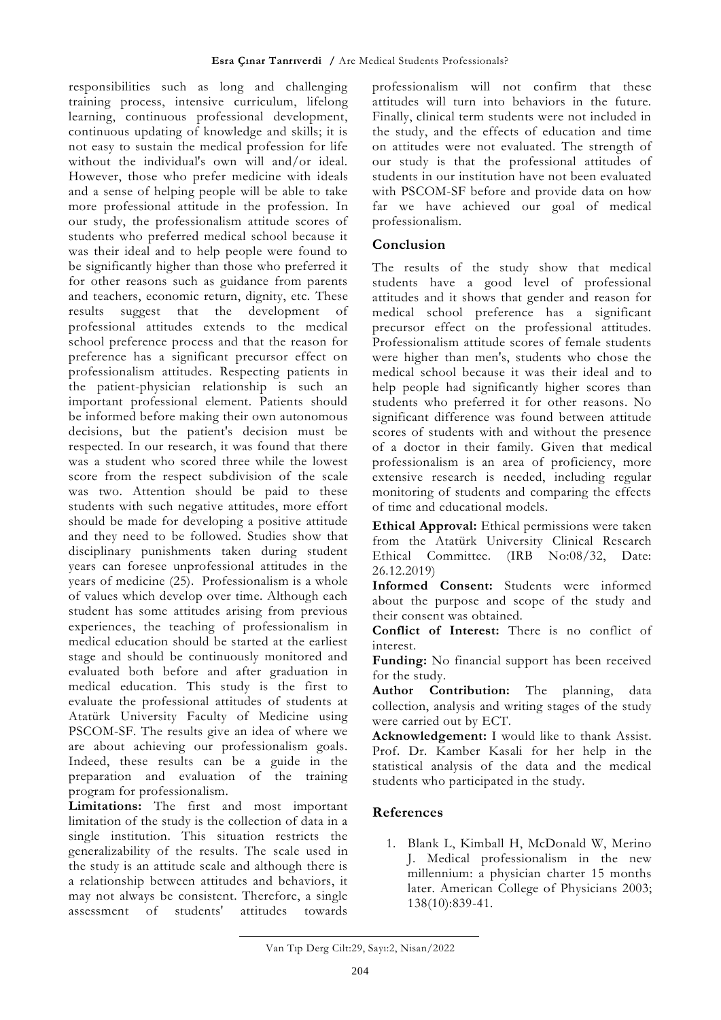responsibilities such as long and challenging training process, intensive curriculum, lifelong learning, continuous professional development, continuous updating of knowledge and skills; it is not easy to sustain the medical profession for life without the individual's own will and/or ideal. However, those who prefer medicine with ideals and a sense of helping people will be able to take more professional attitude in the profession. In our study, the professionalism attitude scores of students who preferred medical school because it was their ideal and to help people were found to be significantly higher than those who preferred it for other reasons such as guidance from parents and teachers, economic return, dignity, etc. These results suggest that the development of professional attitudes extends to the medical school preference process and that the reason for preference has a significant precursor effect on professionalism attitudes. Respecting patients in the patient-physician relationship is such an important professional element. Patients should be informed before making their own autonomous decisions, but the patient's decision must be respected. In our research, it was found that there was a student who scored three while the lowest score from the respect subdivision of the scale was two. Attention should be paid to these students with such negative attitudes, more effort should be made for developing a positive attitude and they need to be followed. Studies show that disciplinary punishments taken during student years can foresee unprofessional attitudes in the years of medicine (25). Professionalism is a whole of values which develop over time. Although each student has some attitudes arising from previous experiences, the teaching of professionalism in medical education should be started at the earliest stage and should be continuously monitored and evaluated both before and after graduation in medical education. This study is the first to evaluate the professional attitudes of students at Atatürk University Faculty of Medicine using PSCOM-SF. The results give an idea of where we are about achieving our professionalism goals. Indeed, these results can be a guide in the preparation and evaluation of the training program for professionalism.

**Limitations:** The first and most important limitation of the study is the collection of data in a single institution. This situation restricts the generalizability of the results. The scale used in the study is an attitude scale and although there is a relationship between attitudes and behaviors, it may not always be consistent. Therefore, a single assessment of students' attitudes towards

professionalism will not confirm that these attitudes will turn into behaviors in the future. Finally, clinical term students were not included in the study, and the effects of education and time on attitudes were not evaluated. The strength of our study is that the professional attitudes of students in our institution have not been evaluated with PSCOM-SF before and provide data on how far we have achieved our goal of medical professionalism.

## **Conclusion**

The results of the study show that medical students have a good level of professional attitudes and it shows that gender and reason for medical school preference has a significant precursor effect on the professional attitudes. Professionalism attitude scores of female students were higher than men's, students who chose the medical school because it was their ideal and to help people had significantly higher scores than students who preferred it for other reasons. No significant difference was found between attitude scores of students with and without the presence of a doctor in their family. Given that medical professionalism is an area of proficiency, more extensive research is needed, including regular monitoring of students and comparing the effects of time and educational models.

**Ethical Approval:** Ethical permissions were taken from the Atatürk University Clinical Research Ethical Committee. (IRB No:08/32, Date: 26.12.2019)

**Informed Consent:** Students were informed about the purpose and scope of the study and their consent was obtained.

**Conflict of Interest:** There is no conflict of interest.

**Funding:** No financial support has been received for the study.

**Author Contribution:** The planning, data collection, analysis and writing stages of the study were carried out by ECT.

**Acknowledgement:** I would like to thank Assist. Prof. Dr. Kamber Kasali for her help in the statistical analysis of the data and the medical students who participated in the study.

# **References**

1. Blank L, Kimball H, McDonald W, Merino J. Medical professionalism in the new millennium: a physician charter 15 months later. American College of Physicians 2003; 138(10):839-41.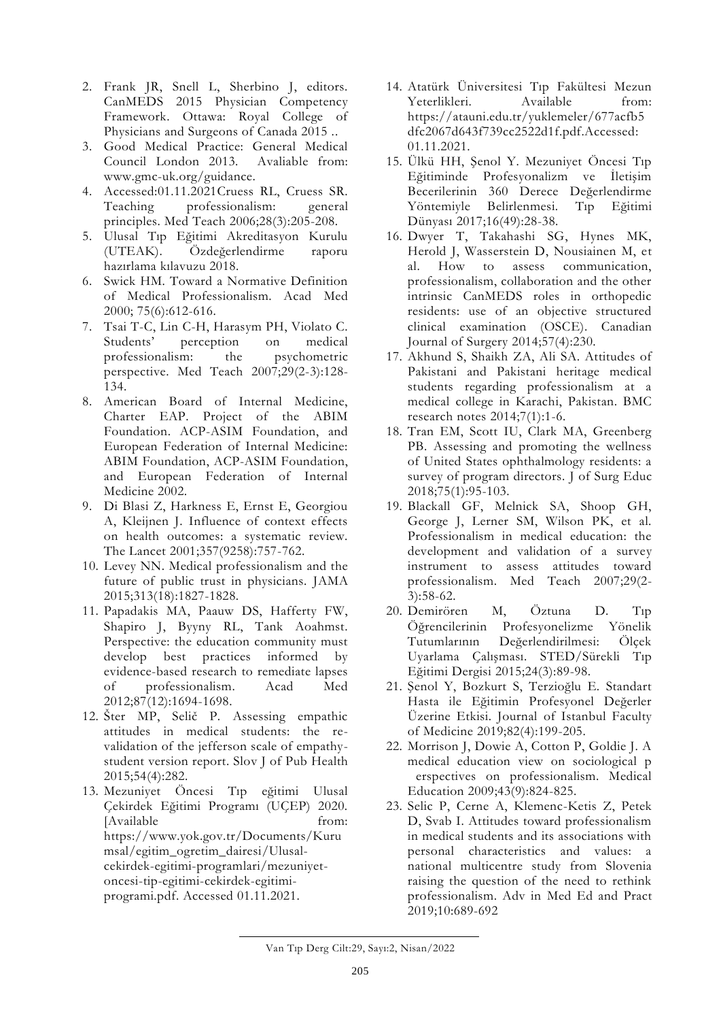- 2. Frank JR, Snell L, Sherbino J, editors. CanMEDS 2015 Physician Competency Framework. Ottawa: Royal College of Physicians and Surgeons of Canada 2015 ..
- 3. Good Medical Practice: General Medical Council London 2013. Avaliable from: www.gmc-uk.org/guidance.
- 4. Accessed:01.11.2021Cruess RL, Cruess SR. Teaching professionalism: general principles. Med Teach 2006;28(3):205-208.
- 5. Ulusal Tıp Eğitimi Akreditasyon Kurulu (UTEAK). Özdeğerlendirme raporu hazırlama kılavuzu 2018.
- 6. Swick HM. Toward a Normative Definition of Medical Professionalism. Acad Med 2000; 75(6):612-616.
- 7. Tsai T-C, Lin C-H, Harasym PH, Violato C. Students' perception on medical professionalism: the psychometric perspective. Med Teach 2007;29(2-3):128- 134.
- 8. American Board of Internal Medicine, Charter EAP. Project of the ABIM Foundation. ACP-ASIM Foundation, and European Federation of Internal Medicine: ABIM Foundation, ACP-ASIM Foundation, and European Federation of Internal Medicine 2002.
- 9. Di Blasi Z, Harkness E, Ernst E, Georgiou A, Kleijnen J. Influence of context effects on health outcomes: a systematic review. The Lancet 2001;357(9258):757-762.
- 10. Levey NN. Medical professionalism and the future of public trust in physicians. JAMA 2015;313(18):1827-1828.
- 11. Papadakis MA, Paauw DS, Hafferty FW, Shapiro J, Byyny RL, Tank Aoahmst. Perspective: the education community must develop best practices informed by evidence-based research to remediate lapses of professionalism. Acad Med 2012;87(12):1694-1698.
- 12. Šter MP, Selič P. Assessing empathic attitudes in medical students: the revalidation of the jefferson scale of empathystudent version report. Slov J of Pub Health 2015;54(4):282.
- 13. Mezuniyet Öncesi Tıp eğitimi Ulusal Çekirdek Eğitimi Programı (UÇEP) 2020. [Available from: [https://www.yok.gov.tr/Documents/Kuru](https://www.yok.gov.tr/Documents/Kurumsal/egitim_ogretim_dairesi/Ulusal-cekirdek-egitimi-programlari/mezuniyet-oncesi-tip-egitimi-cekirdek-egitimi-programi.pdf) [msal/egitim\\_ogretim\\_dairesi/Ulusal](https://www.yok.gov.tr/Documents/Kurumsal/egitim_ogretim_dairesi/Ulusal-cekirdek-egitimi-programlari/mezuniyet-oncesi-tip-egitimi-cekirdek-egitimi-programi.pdf)[cekirdek-egitimi-programlari/mezuniyet](https://www.yok.gov.tr/Documents/Kurumsal/egitim_ogretim_dairesi/Ulusal-cekirdek-egitimi-programlari/mezuniyet-oncesi-tip-egitimi-cekirdek-egitimi-programi.pdf)[oncesi-tip-egitimi-cekirdek-egitimi](https://www.yok.gov.tr/Documents/Kurumsal/egitim_ogretim_dairesi/Ulusal-cekirdek-egitimi-programlari/mezuniyet-oncesi-tip-egitimi-cekirdek-egitimi-programi.pdf)[programi.pdf.](https://www.yok.gov.tr/Documents/Kurumsal/egitim_ogretim_dairesi/Ulusal-cekirdek-egitimi-programlari/mezuniyet-oncesi-tip-egitimi-cekirdek-egitimi-programi.pdf) Accessed 01.11.2021.
- 14. Atatürk Üniversitesi Tıp Fakültesi Mezun Yeterlikleri. Available from: [https://atauni.edu.tr/yuklemeler/677acfb5](https://atauni.edu.tr/yuklemeler/677acfb5dfc2067d643f739cc2522d1f.pdf.Accessed) [dfc2067d643f739cc2522d1f.pdf.Accessed:](https://atauni.edu.tr/yuklemeler/677acfb5dfc2067d643f739cc2522d1f.pdf.Accessed) 01.11.2021.
- 15. Ülkü HH, Şenol Y. Mezuniyet Öncesi Tıp Eğitiminde Profesyonalizm ve İletişim Becerilerinin 360 Derece Değerlendirme Yöntemiyle Belirlenmesi. Tıp Eğitimi Dünyası 2017;16(49):28-38.
- 16. Dwyer T, Takahashi SG, Hynes MK, Herold J, Wasserstein D, Nousiainen M, et al. How to assess communication, professionalism, collaboration and the other intrinsic CanMEDS roles in orthopedic residents: use of an objective structured clinical examination (OSCE). Canadian Journal of Surgery 2014;57(4):230.
- 17. Akhund S, Shaikh ZA, Ali SA. Attitudes of Pakistani and Pakistani heritage medical students regarding professionalism at a medical college in Karachi, Pakistan. BMC research notes 2014;7(1):1-6.
- 18. Tran EM, Scott IU, Clark MA, Greenberg PB. Assessing and promoting the wellness of United States ophthalmology residents: a survey of program directors. J of Surg Educ 2018;75(1):95-103.
- 19. Blackall GF, Melnick SA, Shoop GH, George J, Lerner SM, Wilson PK, et al. Professionalism in medical education: the development and validation of a survey instrument to assess attitudes toward professionalism. Med Teach 2007;29(2- 3):58-62.
- 20. Demirören M, Öztuna D. Tıp Öğrencilerinin Profesyonelizme Yönelik Tutumlarının Değerlendirilmesi: Ölçek Uyarlama Çalışması. STED/Sürekli Tıp Eğitimi Dergisi 2015;24(3):89-98.
- 21. Şenol Y, Bozkurt S, Terzioğlu E. Standart Hasta ile Eğitimin Profesyonel Değerler Üzerine Etkisi. Journal of Istanbul Faculty of Medicine 2019;82(4):199-205.
- 22. Morrison J, Dowie A, Cotton P, Goldie J. A medical education view on sociological p erspectives on professionalism. Medical Education 2009;43(9):824-825.
- 23. Selic P, Cerne A, Klemenc-Ketis Z, Petek D, Svab I. Attitudes toward professionalism in medical students and its associations with personal characteristics and values: a national multicentre study from Slovenia raising the question of the need to rethink professionalism. Adv in Med Ed and Pract 2019;10:689-692